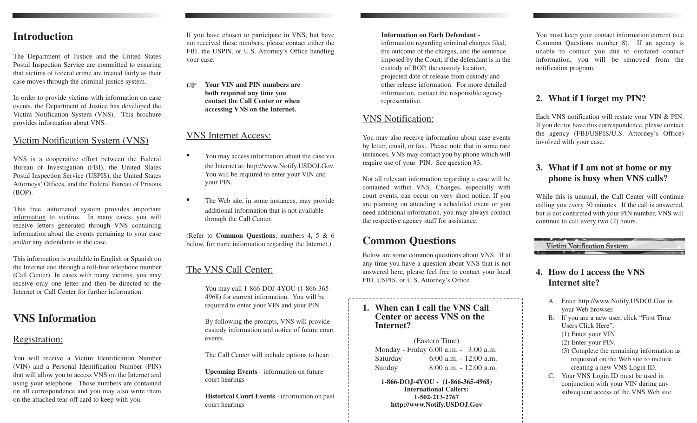## **Introduction**

The Department of Justice and the United States Postal Inspection Service are committed to ensuring that victims of federal crime are treated fairly as their case moves through the criminal justice system.

In order to provide victims with information on case events, the Department of Justice has developed the Victim Notification System (VNS). This brochure provides information about VNS.

#### Victim Notification System (VNS)

VNS is a cooperative effort between the Federal Bureau of Investigation (FBI), the United States Postal Inspection Service (USPIS), the United States Attorneys' Offices, and the Federal Bureau of Prisons (BOP).

This free, automated system provides important information to victims. In many cases, you will receive letters generated through VNS containing information about the events pertaining to your case and/or any defendants in the case.

This information is available in English or Spanish on the Internet and through a toll-free telephone number (Call Center). In cases with many victims, you may receive only one letter and then be directed to the Internet or Call Center for further information.

# **VNS Information**

#### Registration:

You will receive a Victim Identification Number (VIN) and a Personal Identification Number (PIN) that will allow you to access VNS on the Internet and using your telephone. Those numbers are contained on all correspondence and you may also write them on the attached tear-off card to keep with you.

If you have chosen to participate in VNS, but have not received these numbers, please contact either the FBI, the USPIS, or U.S. Attorney's Office handling your case.

☞ **Your VIN and PIN numbers are both required any time you contact the Call Center or when accessing VNS on the Internet.** 

#### VNS Internet Access:

- You may access information about the case via the Internet at: http://www.Notify.USDOJ.Gov. You will be required to enter your VIN and your PIN.
- The Web site, in some instances, may provide additional information that is not available through the Call Center.

(Refer to **Common Questions**, numbers 4, 5 & 6 below, for more information regarding the Internet.)

# The VNS Call Center:

You may call 1-866-DOJ-4YOU (1-866-365 4968) for current information. You will be required to enter your VIN and your PIN.

By following the prompts, VNS will provide custody information and notice of future court events.

The Call Center will include options to hear:

**Upcoming Events** - information on future court hearings

**Historical Court Events** - information on past court hearings

#### **Information on Each Defendant**

information regarding criminal charges filed, the outcome of the charges, and the sentence imposed by the Court; if the defendant is in the custody of BOP, the custody location, projected date of release from custody and other release information. For more detailed information, contact the responsible agency representative.

#### VNS Notification:

You may also receive information about case events by letter, email, or fax. Please note that in some rare instances, VNS may contact you by phone which will require use of your PIN. See question #3.

Not all relevant information regarding a case will be contained within VNS. Changes, especially with court events, can occur on very short notice. If you are planning on attending a scheduled event or you need additional information, you may always contact the respective agency staff for assistance.

# **Common Questions**

Below are some common questions about VNS. If at any time you have a question about VNS that is not answered here, please feel free to contact your local FBI, USPIS, or U.S. Attorney's Office.

#### **1. When can I call the VNS Call Center or access VNS on the Internet?**

(Eastern Time) Monday - Friday 6:00 a.m. - 3:00 a.m. Saturday 6:00 a.m. - 12:00 a.m. Sunday 8:00 a.m. - 12:00 a.m.

**1-866-DOJ-4YOU - (1-866-365-4968) International Callers: 1-502-213-2767 http://www.Notify.USDOJ.Gov** 

You must keep your contact information current (see Common Questions number 8). If an agency is unable to contact you due to outdated contact information, you will be removed from the notification program.

## **2. What if I forget my PIN?**

Each VNS notification will restate your VIN & PIN. If you do not have this correspondence, please contact the agency (FBI/USPIS/U.S. Attorney's Office) involved with your case.

### **3. What if I am not at home or my phone is busy when VNS calls?**

While this is unusual, the Call Center will continue calling you every 30 minutes. If the call is answered, but is not confirmed with your PIN number, VNS will continue to call every two (2) hours.

Victim Notification System

#### **4. How do I access the VNS Internet site?**

- A. Enter http://www.Notify.USDOJ.Gov in your Web browser.
- B. If you are a new user, click "First Time" Users Click Here". (1) Enter your VIN.
- (2) Enter your PIN.
- (3) Complete the remaining information as requested on the Web site to include creating a new VNS Login ID.
- C. Your VNS Login ID must be used in conjunction with your VIN during any subsequent access of the VNS Web site.